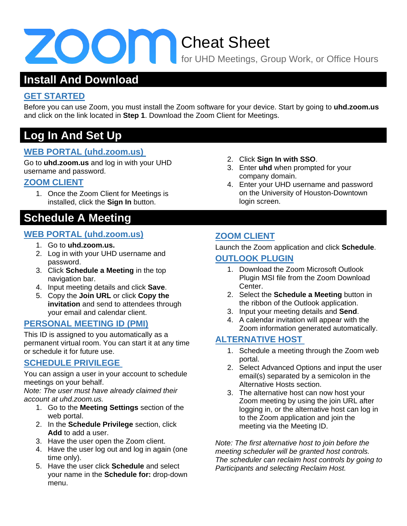# Cheat Sheet

for UHD Meetings, Group Work, or Office Hours

### **Install And Download**

#### **GET STARTED**

Before you can use Zoom, you must install the Zoom software for your device. Start by going to **uhd.zoom.us** and click on the link located in **Step 1**. Download the Zoom Client for Meetings.

### **Log In And Set Up**

#### **WEB PORTAL (uhd.zoom.us)**

Go to **uhd.zoom.us** and log in with your UHD username and password.

#### **ZOOM CLIENT**

1. Once the Zoom Client for Meetings is installed, click the **Sign In** button.

### **Schedule A Meeting**

#### **WEB PORTAL (uhd.zoom.us)**

- 1. Go to **uhd.zoom.us.**
- 2. Log in with your UHD username and password.
- 3. Click **Schedule a Meeting** in the top navigation bar.
- 4. Input meeting details and click **Save**.
- 5. Copy the **Join URL** or click **Copy the invitation** and send to attendees through your email and calendar client.

#### **PERSONAL MEETING ID (PMI)**

This ID is assigned to you automatically as a permanent virtual room. You can start it at any time or schedule it for future use.

#### **SCHEDULE PRIVILEGE**

You can assign a user in your account to schedule meetings on your behalf.

*Note: The user must have already claimed their account at uhd.zoom.us.*

- 1. Go to the **Meeting Settings** section of the web portal.
- 2. In the **Schedule Privilege** section, click **Add** to add a user.
- 3. Have the user open the Zoom client.
- 4. Have the user log out and log in again (one time only).
- 5. Have the user click **Schedule** and select your name in the **Schedule for:** drop-down menu.
- 2. Click **Sign In with SSO**.
- 3. Enter **uhd** when prompted for your company domain.
- 4. Enter your UHD username and password on the University of Houston-Downtown login screen.

#### **ZOOM CLIENT**

Launch the Zoom application and click **Schedule**.

#### **OUTLOOK PLUGIN**

- 1. Download the Zoom Microsoft Outlook Plugin MSI file from the Zoom Download Center.
- 2. Select the **Schedule a Meeting** button in the ribbon of the Outlook application.
- 3. Input your meeting details and **Send**.
- 4. A calendar invitation will appear with the Zoom information generated automatically.

#### **ALTERNATIVE HOST**

- 1. Schedule a meeting through the Zoom web portal.
- 2. Select Advanced Options and input the user email(s) separated by a semicolon in the Alternative Hosts section.
- 3. The alternative host can now host your Zoom meeting by using the join URL after logging in, or the alternative host can log in to the Zoom application and join the meeting via the Meeting ID.

*Note: The first alternative host to join before the meeting scheduler will be granted host controls. The scheduler can reclaim host controls by going to Participants and selecting Reclaim Host.*